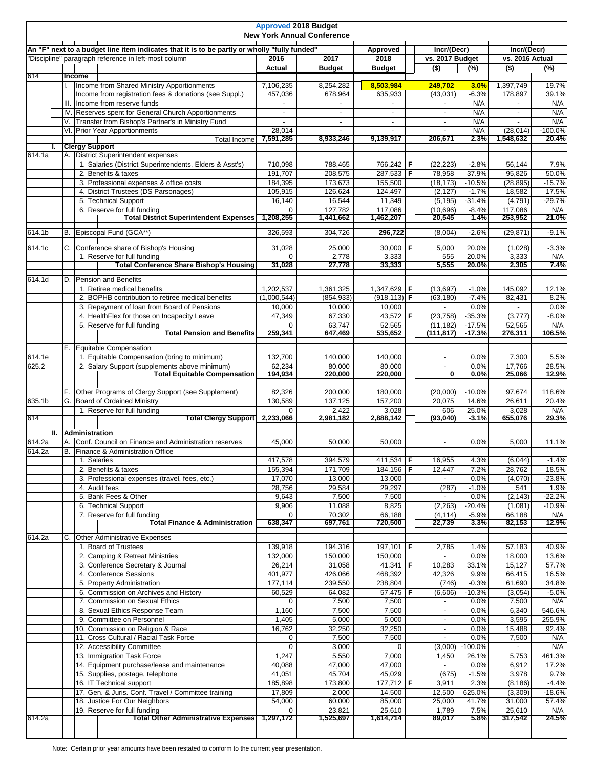| <b>Approved 2018 Budget</b><br><b>New York Annual Conference</b> |                                                                                              |                                                                                                  |                       |                               |                          |  |                                                      |                   |                                   |                 |
|------------------------------------------------------------------|----------------------------------------------------------------------------------------------|--------------------------------------------------------------------------------------------------|-----------------------|-------------------------------|--------------------------|--|------------------------------------------------------|-------------------|-----------------------------------|-----------------|
|                                                                  |                                                                                              |                                                                                                  |                       |                               |                          |  |                                                      |                   |                                   |                 |
|                                                                  | An "F" next to a budget line item indicates that it is to be partly or wholly "fully funded" |                                                                                                  |                       |                               | Approved                 |  | Incr/(Decr)                                          |                   | Incr/(Decr)                       |                 |
|                                                                  | "Discipline" paragraph reference in left-most column                                         |                                                                                                  | 2016<br>Actual        | 2017<br>2018<br><b>Budget</b> |                          |  | vs. 2017 Budget<br>$(\%)$                            |                   | vs. 2016 Actual<br>$($ \$)<br>(%) |                 |
| 614                                                              |                                                                                              | Income                                                                                           |                       |                               | <b>Budget</b>            |  | $($ \$)                                              |                   |                                   |                 |
|                                                                  |                                                                                              | Income from Shared Ministry Apportionments                                                       | 7,106,235             | 8,254,282                     | 8,503,984                |  | 249,702                                              | 3.0%              | 1,397,749                         | 19.7%           |
|                                                                  |                                                                                              | Income from registration fees & donations (see Suppl.)                                           | 457.036               | 678,964                       | 635,933                  |  | (43,031)                                             | $-6.3%$           | 178,897                           | 39.1%           |
|                                                                  |                                                                                              | III.<br>Income from reserve funds                                                                |                       |                               |                          |  |                                                      | N/A               |                                   | N/A             |
|                                                                  |                                                                                              | Reserves spent for General Church Apportionments<br>IV                                           |                       | $\overline{\phantom{a}}$      | $\overline{a}$           |  |                                                      | N/A               | $\overline{\phantom{a}}$          | N/A<br>N/A      |
|                                                                  |                                                                                              | Transfer from Bishop's Partner's in Ministry Fund<br>V.<br>VI. Prior Year Apportionments         | 28,014                |                               |                          |  |                                                      | N/A<br>N/A        | (28.014)                          | $-100.0%$       |
|                                                                  |                                                                                              | Total Income                                                                                     | 7,591,285             | 8,933,246                     | 9,139,917                |  | 206,671                                              | 2.3%              | 1,548,632                         | 20.4%           |
|                                                                  | L.                                                                                           | <b>Clergy Support</b>                                                                            |                       |                               |                          |  |                                                      |                   |                                   |                 |
| 614.1a                                                           |                                                                                              | A. District Superintendent expenses                                                              |                       |                               |                          |  |                                                      |                   |                                   |                 |
|                                                                  |                                                                                              | 1. Salaries (District Superintendents, Elders & Asst's)                                          | 710,098<br>191,707    | 788,465<br>208,575            | 766,242 F<br>287,533 F   |  | (22, 223)<br>78,958                                  | $-2.8%$<br>37.9%  | 56.144<br>95,826                  | 7.9%<br>50.0%   |
|                                                                  |                                                                                              | 2. Benefits & taxes<br>3. Professional expenses & office costs                                   | 184,395               | 173,673                       | 155,500                  |  | (18, 173)                                            | $-10.5%$          | (28, 895)                         | $-15.7%$        |
|                                                                  |                                                                                              | 4. District Trustees (DS Parsonages)                                                             | 105,915               | 126,624                       | 124,497                  |  | (2, 127)                                             | $-1.7%$           | 18,582                            | 17.5%           |
|                                                                  |                                                                                              | 5. Technical Support                                                                             | 16,140                | 16,544                        | 11,349                   |  | (5, 195)                                             | $-31.4%$          | (4,791)                           | $-29.7%$        |
|                                                                  |                                                                                              | 6. Reserve for full funding                                                                      | $\Omega$              | 127,782                       | 117,086                  |  | (10, 696)                                            | $-8.4%$           | 117,086                           | N/A             |
|                                                                  |                                                                                              | <b>Total District Superintendent Expenses</b>                                                    | 1,208,255             | 1,441,662                     | 1,462,207                |  | 20,545                                               | 1.4%              | 253,952                           | 21.0%           |
| 614.1b                                                           |                                                                                              | B. Episcopal Fund (GCA**)                                                                        | 326,593               | 304,726                       | 296,722                  |  | (8,004)                                              | $-2.6%$           | (29, 871)                         | $-9.1%$         |
|                                                                  |                                                                                              |                                                                                                  |                       |                               |                          |  |                                                      |                   |                                   |                 |
| 614.1c                                                           |                                                                                              | C.<br>Conference share of Bishop's Housing                                                       | 31.028                | 25,000                        | 30,000   $F$             |  | 5,000                                                | 20.0%             | (1,028)                           | $-3.3%$         |
|                                                                  |                                                                                              | 1. Reserve for full funding<br><b>Total Conference Share Bishop's Housing</b>                    | $\Omega$<br>31,028    | 2,778<br>27,778               | 3,333<br>33,333          |  | 555<br>5,555                                         | 20.0%<br>20.0%    | 3,333<br>2,305                    | N/A<br>7.4%     |
|                                                                  |                                                                                              |                                                                                                  |                       |                               |                          |  |                                                      |                   |                                   |                 |
| 614.1d                                                           |                                                                                              | D.<br>Pension and Benefits                                                                       |                       |                               |                          |  |                                                      |                   |                                   |                 |
|                                                                  |                                                                                              | 1. Retiree medical benefits                                                                      | 1,202,537             | 1,361,325                     | 1,347,629   F            |  | (13,697)                                             | $-1.0%$           | 145,092                           | 12.1%           |
|                                                                  |                                                                                              | 2. BOPHB contribution to retiree medical benefits<br>3. Repayment of loan from Board of Pensions | (1,000,544)<br>10,000 | (854, 933)<br>10,000          | $(918, 113)$ F<br>10,000 |  | (63, 180)                                            | $-7.4%$<br>0.0%   | 82,431                            | 8.2%<br>0.0%    |
|                                                                  |                                                                                              | 4. HealthFlex for those on Incapacity Leave                                                      | $\overline{47,349}$   | 67,330                        | 43,572   F               |  | (23, 758)                                            | $-35.3%$          | (3,777)                           | $-8.0%$         |
|                                                                  |                                                                                              | 5. Reserve for full funding                                                                      | $\Omega$              | 63,747                        | 52,565                   |  | (11, 182)                                            | $-17.5%$          | 52,565                            | N/A             |
|                                                                  |                                                                                              | <b>Total Pension and Benefits</b>                                                                | 259,341               | 647,469                       | 535,652                  |  | (111,817)                                            | $-17.3%$          | 276,311                           | 106.5%          |
|                                                                  |                                                                                              | E. Equitable Compensation                                                                        |                       |                               |                          |  |                                                      |                   |                                   |                 |
| 614.1e                                                           |                                                                                              | 1. Equitable Compensation (bring to minimum)                                                     | 132,700               | 140,000                       | 140,000                  |  | $\overline{\phantom{a}}$                             | 0.0%              | 7,300                             | 5.5%            |
| 625.2                                                            |                                                                                              | 2. Salary Support (supplements above minimum)                                                    | 62,234                | 80,000                        | 80,000                   |  |                                                      | 0.0%              | 17,766                            | 28.5%           |
|                                                                  |                                                                                              | <b>Total Equitable Compensation</b>                                                              | 194,934               | 220,000                       | 220,000                  |  | 0                                                    | $0.0\%$           | 25,066                            | 12.9%           |
|                                                                  |                                                                                              |                                                                                                  |                       |                               |                          |  |                                                      |                   |                                   |                 |
| 635.1b                                                           |                                                                                              | Other Programs of Clergy Support (see Supplement)<br>G. Board of Ordained Ministry               | 82,326                | 200,000                       | 180,000                  |  | (20,000)<br>20,075                                   | $-10.0%$<br>14.6% | 97,674<br>26,611                  | 118.6%<br>20.4% |
|                                                                  |                                                                                              | 1. Reserve for full funding                                                                      | 130,589<br>$\Omega$   | 137,125<br>2,422              | 157,200<br>3,028         |  | 606                                                  | 25.0%             | 3,028                             | N/A             |
| 614                                                              |                                                                                              | <b>Total Clergy Support</b>                                                                      | 2,233,066             | 2,981,182                     | 2,888,142                |  | (93,040)                                             | $-3.1%$           | 655,076                           | 29.3%           |
|                                                                  | н.                                                                                           | Administration                                                                                   |                       |                               |                          |  |                                                      |                   |                                   |                 |
| 614.2a                                                           |                                                                                              | Conf. Council on Finance and Administration reserves<br>А.                                       | 45,000                | 50,000                        | 50,000                   |  |                                                      | 0.0%              | 5,000                             | 11.1%           |
| 614.2a                                                           |                                                                                              | B. Finance & Administration Office                                                               |                       |                               |                          |  |                                                      |                   |                                   |                 |
|                                                                  |                                                                                              | 1. Salaries                                                                                      | 417,578               | 394,579                       | $411,534$ F              |  | 16,955                                               | 4.3%              | (6,044)                           | $-1.4%$         |
|                                                                  |                                                                                              | 2. Benefits & taxes                                                                              | 155,394               | 171,709                       | 184,156 F                |  | 12,447                                               | 7.2%              | 28,762                            | 18.5%           |
|                                                                  |                                                                                              | 3. Professional expenses (travel, fees, etc.)                                                    | 17,070                | 13,000                        | 13,000                   |  |                                                      | 0.0%              | (4,070)                           | $-23.8%$        |
|                                                                  |                                                                                              | 4. Audit fees                                                                                    | 28,756                | 29,584                        | 29,297                   |  | (287)                                                | $-1.0%$           | 541                               | 1.9%            |
|                                                                  |                                                                                              | 5. Bank Fees & Other                                                                             | 9,643                 | 7,500                         | 7,500                    |  |                                                      | 0.0%              | (2, 143)                          | $-22.2%$        |
|                                                                  |                                                                                              | 6. Technical Support<br>7. Reserve for full funding                                              | 9,906                 | 11,088<br>70,302              | 8,825                    |  | (2, 263)                                             | $-20.4%$          | (1,081)                           | $-10.9%$        |
|                                                                  |                                                                                              | <b>Total Finance &amp; Administration</b>                                                        | 638,347               | 697,761                       | 66,188<br>720,500        |  | (4, 114)<br>22,739                                   | $-5.9%$<br>3.3%   | 66,188<br>82,153                  | N/A<br>12.9%    |
|                                                                  |                                                                                              |                                                                                                  |                       |                               |                          |  |                                                      |                   |                                   |                 |
| 614.2a                                                           |                                                                                              | <b>Other Administrative Expenses</b>                                                             |                       |                               |                          |  |                                                      |                   |                                   |                 |
|                                                                  |                                                                                              | 1. Board of Trustees<br>2. Camping & Retreat Ministries                                          | 139,918<br>132,000    | 194,316<br>150,000            | 197,101 F<br>150,000     |  | 2,785                                                | 1.4%<br>0.0%      | 57,183<br>18,000                  | 40.9%<br>13.6%  |
|                                                                  |                                                                                              | 3. Conference Secretary & Journal                                                                | 26,214                | 31,058                        | 41,341   <b>F</b>        |  | 10,283                                               | 33.1%             | 15,127                            | 57.7%           |
|                                                                  |                                                                                              | 4. Conference Sessions                                                                           | 401,977               | 426,066                       | 468,392                  |  | 42,326                                               | 9.9%              | 66,415                            | 16.5%           |
|                                                                  |                                                                                              | 5. Property Administration                                                                       | 177,114               | 239,550                       | 238,804                  |  | (746)                                                | $-0.3%$           | 61,690                            | 34.8%           |
|                                                                  |                                                                                              | 6. Commission on Archives and History                                                            | 60,529                | 64,082                        | 57,475   <b>F</b>        |  | (6,606)                                              | $-10.3%$          | (3,054)                           | $-5.0%$         |
|                                                                  |                                                                                              | 7. Commission on Sexual Ethics                                                                   | 0                     | 7,500                         | 7,500                    |  |                                                      | 0.0%              | 7,500                             | N/A             |
|                                                                  |                                                                                              | Sexual Ethics Response Team<br>8.                                                                | 1,160                 | 7,500                         | 7,500                    |  |                                                      | 0.0%              | 6,340                             | 546.6%          |
|                                                                  |                                                                                              | 9. Committee on Personnel                                                                        | 1,405                 | 5,000                         | 5,000                    |  | $\overline{\phantom{a}}$                             | 0.0%              | 3,595                             | 255.9%          |
|                                                                  |                                                                                              | 10. Commission on Religion & Race                                                                | 16,762<br>$\Omega$    | 32,250<br>7,500               | 32,250<br>7,500          |  | $\overline{\phantom{a}}$<br>$\overline{\phantom{a}}$ | 0.0%<br>0.0%      | 15,488                            | 92.4%           |
|                                                                  |                                                                                              | 11. Cross Cultural / Racial Task Force<br>12. Accessibility Committee                            | $\mathbf 0$           | 3,000                         | 0                        |  |                                                      | $(3,000)$ -100.0% | 7,500<br>$\sim$                   | N/A<br>N/A      |
|                                                                  |                                                                                              | 13. Immigration Task Force                                                                       | 1,247                 | 5,550                         | 7,000                    |  | 1,450                                                | 26.1%             | 5,753                             | 461.3%          |
|                                                                  |                                                                                              | 14. Equipment purchase/lease and maintenance                                                     | 40,088                | 47,000                        | 47,000                   |  |                                                      | 0.0%              | 6,912                             | 17.2%           |
|                                                                  |                                                                                              | 15. Supplies, postage, telephone                                                                 | 41,051                | 45,704                        | 45,029                   |  | (675)                                                | $-1.5%$           | 3,978                             | 9.7%            |
|                                                                  |                                                                                              | 16. IT Technical support                                                                         | 185,898               | 173,800                       | 177,712   <b>F</b>       |  | 3,911                                                | 2.3%              | (8, 186)                          | $-4.4%$         |
|                                                                  |                                                                                              | 17. Gen. & Juris. Conf. Travel / Committee training                                              | 17,809                | 2,000                         | 14,500                   |  | 12,500                                               | 625.0%            | (3,309)                           | $-18.6%$        |
|                                                                  |                                                                                              | 18. Justice For Our Neighbors                                                                    | 54,000                | 60,000                        | 85,000                   |  | 25,000                                               | 41.7%             | 31,000                            | 57.4%           |
|                                                                  |                                                                                              | 19. Reserve for full funding                                                                     | $\Omega$              | 23,821                        | 25,610                   |  | 1,789                                                | 7.5%              | 25,610                            | N/A             |
| 614.2a                                                           |                                                                                              | <b>Total Other Administrative Expenses</b>                                                       | 1,297,172             | 1,525,697                     | 1,614,714                |  | 89,017                                               | 5.8%              | 317,542                           | 24.5%           |
|                                                                  |                                                                                              |                                                                                                  |                       |                               |                          |  |                                                      |                   |                                   |                 |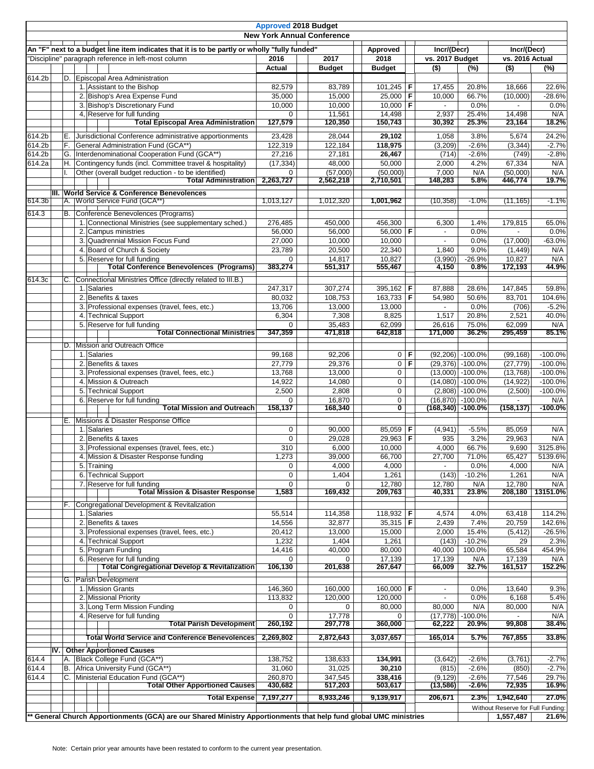|        |                                                                                              |                                                                                                                 |                       | <b>Approved 2018 Budget</b><br><b>New York Annual Conference</b> |                               |     |                            |                                         |                                   |                   |
|--------|----------------------------------------------------------------------------------------------|-----------------------------------------------------------------------------------------------------------------|-----------------------|------------------------------------------------------------------|-------------------------------|-----|----------------------------|-----------------------------------------|-----------------------------------|-------------------|
|        |                                                                                              |                                                                                                                 |                       |                                                                  |                               |     |                            |                                         |                                   |                   |
|        | An "F" next to a budget line item indicates that it is to be partly or wholly "fully funded" |                                                                                                                 |                       |                                                                  | Approved                      |     | Incr/(Decr)                |                                         | Incr/(Decr)<br>vs. 2016 Actual    |                   |
|        |                                                                                              | "Discipline" paragraph reference in left-most column                                                            | 2016<br>Actual        | 2017<br><b>Budget</b>                                            | 2018<br><b>Budget</b>         |     | vs. 2017 Budget<br>$($ \$) | $(\%)$                                  | $($ \$)                           | $(\%)$            |
| 614.2b |                                                                                              | D.<br>Episcopal Area Administration                                                                             |                       |                                                                  |                               |     |                            |                                         |                                   |                   |
|        |                                                                                              | 1. Assistant to the Bishop                                                                                      | 82,579                | 83,789                                                           | 101,245   <b>F</b>            |     | 17,455                     | 20.8%                                   | 18,666                            | 22.6%             |
|        |                                                                                              | 2. Bishop's Area Expense Fund                                                                                   | 35,000                | 15,000                                                           | 25,000                        | F   | 10,000                     | 66.7%                                   | (10,000)                          | $-28.6%$          |
|        |                                                                                              | 3. Bishop's Discretionary Fund                                                                                  | 10,000                | 10,000                                                           | 10,000                        | l F |                            | 0.0%                                    |                                   | 0.0%              |
|        |                                                                                              | 4. Reserve for full funding                                                                                     | $\Omega$              | 11,561                                                           | 14,498                        |     | 2,937                      | 25.4%                                   | 14,498                            | N/A               |
|        |                                                                                              | <b>Total Episcopal Area Administration</b>                                                                      | 127,579               | 120,350                                                          | 150,743                       |     | 30,392                     | 25.3%                                   | 23,164                            | 18.2%             |
| 614.2b |                                                                                              | E. Jurisdictional Conference administrative apportionments                                                      | 23,428                | 28,044                                                           | 29,102                        |     | 1,058                      | 3.8%                                    | 5,674                             | 24.2%             |
| 614.2b |                                                                                              | General Administration Fund (GCA**)<br>F.                                                                       | 122,319               | 122,184                                                          | 118,975                       |     | (3,209)                    | $-2.6%$                                 | (3, 344)                          | $-2.7%$           |
| 614.2b |                                                                                              | Interdenominational Cooperation Fund (GCA**)<br>G.                                                              | 27,216                | 27,181                                                           | 26,467                        |     | (714)                      | $-2.6%$                                 | (749)                             | $-2.8%$           |
| 614.2a |                                                                                              | H.<br>Contingency funds (incl. Committee travel & hospitality)                                                  | (17, 334)             | 48,000                                                           | 50,000                        |     | 2,000                      | 4.2%                                    | 67,334                            | N/A               |
|        |                                                                                              | Other (overall budget reduction - to be identified)<br><b>Total Administration</b>                              | $\Omega$<br>2,263,727 | (57,000)<br>2,562,218                                            | (50,000)<br>2,710,501         |     | 7,000<br>148,283           | N/A<br>5.8%                             | (50,000)<br>446,774               | N/A<br>19.7%      |
|        |                                                                                              |                                                                                                                 |                       |                                                                  |                               |     |                            |                                         |                                   |                   |
| 614.3b |                                                                                              | III. World Service & Conference Benevolences<br>A. World Service Fund (GCA**)                                   | 1,013,127             | 1,012,320                                                        | 1,001,962                     |     | (10, 358)                  | $-1.0%$                                 | (11, 165)                         | $-1.1%$           |
|        |                                                                                              |                                                                                                                 |                       |                                                                  |                               |     |                            |                                         |                                   |                   |
| 614.3  |                                                                                              | В.<br>Conference Benevolences (Programs)                                                                        |                       |                                                                  |                               |     |                            |                                         |                                   |                   |
|        |                                                                                              | 1. Connectional Ministries (see supplementary sched.)<br>2. Campus ministries                                   | 276,485<br>56,000     | 450,000<br>56,000                                                | 456,300<br>56,000 F           |     | 6,300                      | 1.4%<br>0.0%                            | 179,815                           | 65.0%<br>0.0%     |
|        |                                                                                              | 3. Quadrennial Mission Focus Fund                                                                               | 27,000                | 10,000                                                           | 10,000                        |     |                            | 0.0%                                    | (17,000)                          | $-63.0%$          |
|        |                                                                                              | 4. Board of Church & Society                                                                                    | 23,789                | 20,500                                                           | 22,340                        |     | 1,840                      | 9.0%                                    | (1, 449)                          | N/A               |
|        |                                                                                              | 5. Reserve for full funding                                                                                     | $\Omega$              | 14,817                                                           | 10,827                        |     | (3,990)                    | $-26.9%$                                | 10,827                            | N/A               |
|        |                                                                                              | <b>Total Conference Benevolences (Programs)</b>                                                                 | 383,274               | 551,317                                                          | 555,467                       |     | 4,150                      | 0.8%                                    | 172,193                           | 44.9%             |
| 614.3c |                                                                                              | Connectional Ministries Office (directly related to III.B.)<br>C.                                               |                       |                                                                  |                               |     |                            |                                         |                                   |                   |
|        |                                                                                              | 1. Salaries                                                                                                     | 247,317               | 307,274                                                          | $395,162$ F                   |     | 87,888                     | 28.6%                                   | 147,845                           | 59.8%             |
|        |                                                                                              | 2. Benefits & taxes                                                                                             | 80,032                | 108,753                                                          | 163,733                       | F   | 54,980                     | 50.6%                                   | 83,701                            | 104.6%            |
|        |                                                                                              | 3. Professional expenses (travel, fees, etc.)                                                                   | 13,706                | 13,000                                                           | 13,000                        |     |                            | 0.0%                                    | (706)                             | $-5.2%$           |
|        |                                                                                              | 4. Technical Support                                                                                            | 6,304                 | 7,308                                                            | 8,825                         |     | 1,517                      | 20.8%                                   | 2,521                             | 40.0%             |
|        |                                                                                              | 5. Reserve for full funding                                                                                     | $\Omega$              | 35,483                                                           | 62,099                        |     | 26,616                     | 75.0%                                   | 62,099                            | N/A               |
|        |                                                                                              | <b>Total Connectional Ministries</b>                                                                            | 347,359               | 471,818                                                          | 642,818                       |     | 171,000                    | 36.2%                                   | 295,459                           | 85.1%             |
|        |                                                                                              | D. Mission and Outreach Office                                                                                  |                       |                                                                  |                               |     |                            |                                         |                                   |                   |
|        |                                                                                              | 1. Salaries                                                                                                     | 99,168                | 92,206                                                           | $\overline{0}$                | F   |                            | $(92,206)$ -100.0%                      | (99, 168)                         | $-100.0%$         |
|        |                                                                                              | 2. Benefits & taxes                                                                                             | 27,779                | 29,376                                                           | 0                             | F   |                            | $(29,376)$ -100.0%                      | (27, 779)                         | $-100.0%$         |
|        |                                                                                              | 3. Professional expenses (travel, fees, etc.)                                                                   | 13,768                | 13,000                                                           | 0                             |     |                            | $(13,000)$ -100.0%                      | (13,768)                          | $-100.0%$         |
|        |                                                                                              | 4. Mission & Outreach                                                                                           | 14,922                | 14,080                                                           | 0                             |     |                            | $(14,080)$ -100.0%                      | (14, 922)                         | $-100.0%$         |
|        |                                                                                              | 5. Technical Support                                                                                            | 2,500                 | 2,808                                                            | 0                             |     |                            | $(2,808)$ -100.0%                       | (2,500)                           | $-100.0%$         |
|        |                                                                                              | 6. Reserve for full funding<br><b>Total Mission and Outreach</b>                                                | $\Omega$<br>158,137   | 16,870<br>168,340                                                | 0<br>ひ                        |     |                            | $(16,870)$ -100.0%<br>(168,340) -100.0% | (158, 137)                        | N/A<br>$-100.0\%$ |
|        |                                                                                              |                                                                                                                 |                       |                                                                  |                               |     |                            |                                         |                                   |                   |
|        |                                                                                              | E. Missions & Disaster Response Office<br>1. Salaries                                                           | 0                     | 90,000                                                           | 85,059 F                      |     | (4, 941)                   | $-5.5%$                                 | 85,059                            | N/A               |
|        |                                                                                              | 2. Benefits & taxes                                                                                             | $\mathbf 0$           | 29,028                                                           | 29,963                        | F   | 935                        | 3.2%                                    | 29,963                            | N/A               |
|        |                                                                                              | 3. Professional expenses (travel, fees, etc.)                                                                   | 310                   | 6,000                                                            | 10,000                        |     | 4,000                      | 66.7%                                   | 9,690                             | 3125.8%           |
|        |                                                                                              | 4. Mission & Disaster Response funding                                                                          | 1.273                 | 39.000                                                           | 66.700                        |     | 27,700                     | 71.0%                                   | 65,427                            | 5139.6%           |
|        |                                                                                              | 5. Training                                                                                                     | $\mathsf 0$           | 4,000                                                            | 4,000                         |     |                            | 0.0%                                    | 4,000                             | N/A               |
|        |                                                                                              | 6. Technical Support                                                                                            | $\mathbf 0$           | 1,404                                                            | 1,261                         |     | (143)                      | $-10.2%$                                | 1,261                             | N/A               |
|        |                                                                                              | 7. Reserve for full funding                                                                                     | $\mathbf 0$           | $\mathbf 0$                                                      | 12,780                        |     | 12,780                     | N/A                                     | 12,780                            | N/A               |
|        |                                                                                              | <b>Total Mission &amp; Disaster Response</b>                                                                    | 1,583                 | 169,432                                                          | 209,763                       |     | 40,331                     | 23.8%                                   | 208,180                           | 13151.0%          |
|        |                                                                                              | F. Congregational Development & Revitalization                                                                  |                       |                                                                  |                               |     |                            |                                         |                                   |                   |
|        |                                                                                              | 1. Salaries                                                                                                     | 55,514                | 114,358                                                          | 118,932 F                     |     | 4,574                      | 4.0%                                    | 63,418                            | 114.2%            |
|        |                                                                                              | 2. Benefits & taxes                                                                                             | 14,556                | 32,877                                                           | 35,315                        | F   | 2,439                      | 7.4%                                    | 20,759                            | 142.6%            |
|        |                                                                                              | 3. Professional expenses (travel, fees, etc.)                                                                   | 20,412                | 13,000                                                           | 15,000                        |     | 2,000                      | 15.4%                                   | (5, 412)                          | $-26.5%$          |
|        |                                                                                              | 4. Technical Support                                                                                            | 1,232                 | 1,404                                                            | 1,261                         |     | (143)                      | $-10.2%$                                | 29                                | 2.3%              |
|        |                                                                                              | 5. Program Funding<br>6. Reserve for full funding                                                               | 14,416<br>$\Omega$    | 40,000                                                           | 80,000                        |     | 40,000                     | 100.0%                                  | 65,584                            | 454.9%            |
|        |                                                                                              | <b>Total Congregational Develop &amp; Revitalization</b>                                                        | 106,130               | $\mathbf 0$<br>201,638                                           | 17,139<br>267,647             |     | 17,139<br>66,009           | N/A<br>32.7%                            | 17,139<br>161,517                 | N/A<br>152.2%     |
|        |                                                                                              |                                                                                                                 |                       |                                                                  |                               |     |                            |                                         |                                   |                   |
|        |                                                                                              | G. Parish Development                                                                                           |                       |                                                                  |                               |     |                            |                                         |                                   |                   |
|        |                                                                                              | 1. Mission Grants<br>2. Missional Priority                                                                      | 146,360<br>113,832    | 160,000<br>120,000                                               | 160,000   <b>F</b><br>120,000 |     |                            | 0.0%<br>0.0%                            | 13,640<br>6,168                   | 9.3%<br>5.4%      |
|        |                                                                                              | 3. Long Term Mission Funding                                                                                    | 0                     | 0                                                                | 80,000                        |     | 80,000                     | N/A                                     | 80,000                            | N/A               |
|        |                                                                                              | 4. Reserve for full funding                                                                                     | $\mathbf 0$           | 17,778                                                           | $\Omega$                      |     | (17, 778)                  | $-100.0%$                               |                                   | N/A               |
|        |                                                                                              | <b>Total Parish Development</b>                                                                                 | 260,192               | 297,778                                                          | 360,000                       |     | 62,222                     | 20.9%                                   | 99,808                            | 38.4%             |
|        |                                                                                              | <b>Total World Service and Conference Benevolences</b>                                                          | 2,269,802             | 2,872,643                                                        | 3,037,657                     |     | 165,014                    | 5.7%                                    | 767,855                           | 33.8%             |
|        |                                                                                              |                                                                                                                 |                       |                                                                  |                               |     |                            |                                         |                                   |                   |
| 614.4  |                                                                                              | <b>IV.</b> Other Apportioned Causes<br>Black College Fund (GCA**)<br>А.                                         | 138,752               | 138,633                                                          | 134,991                       |     | (3,642)                    | $-2.6%$                                 |                                   | $-2.7%$           |
| 614.4  |                                                                                              | Africa University Fund (GCA**)<br>B.                                                                            | 31,060                | 31,025                                                           | 30,210                        |     | (815)                      | $-2.6%$                                 | (3,761)<br>(850)                  | $-2.7%$           |
| 614.4  |                                                                                              | C.<br>Ministerial Education Fund (GCA**)                                                                        | 260,870               | 347,545                                                          | 338,416                       |     | (9, 129)                   | $-2.6%$                                 | 77,546                            | 29.7%             |
|        |                                                                                              | <b>Total Other Apportioned Causes</b>                                                                           | 430,682               | 517,203                                                          | 503,617                       |     | (13,586)                   | $-2.6\%$                                | 72,935                            | 16.9%             |
|        |                                                                                              | <b>Total Expense</b>                                                                                            | 7,197,277             | 8,933,246                                                        | 9,139,917                     |     | 206,671                    | $2.3\%$                                 | 1,942,640                         | 27.0%             |
|        |                                                                                              |                                                                                                                 |                       |                                                                  |                               |     |                            |                                         | Without Reserve for Full Funding: |                   |
|        |                                                                                              | General Church Apportionments (GCA) are our Shared Ministry Apportionments that help fund global UMC ministries |                       |                                                                  |                               |     |                            |                                         | 1,557,487                         | 21.6%             |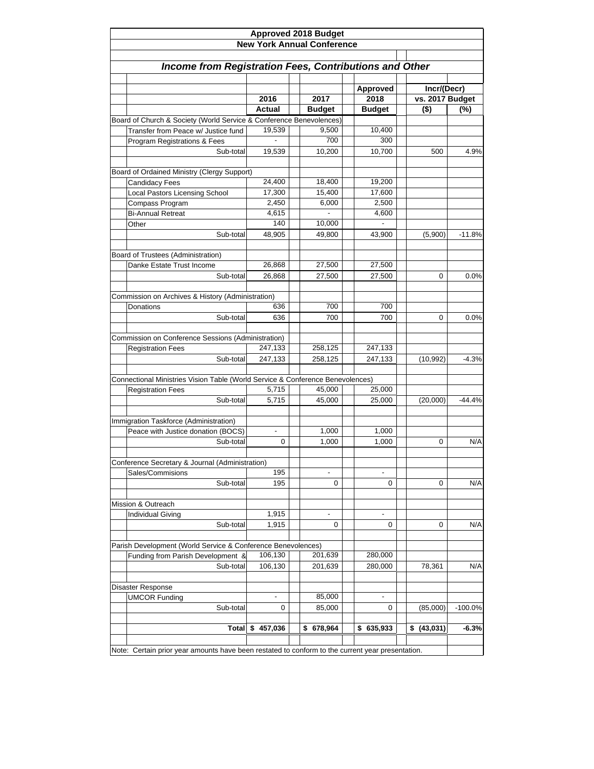| <b>Approved 2018 Budget</b><br><b>New York Annual Conference</b>               |                                                                                                  |                          |                          |                 |           |  |  |  |  |  |  |
|--------------------------------------------------------------------------------|--------------------------------------------------------------------------------------------------|--------------------------|--------------------------|-----------------|-----------|--|--|--|--|--|--|
|                                                                                |                                                                                                  |                          |                          |                 |           |  |  |  |  |  |  |
| <b>Income from Registration Fees, Contributions and Other</b>                  |                                                                                                  |                          |                          |                 |           |  |  |  |  |  |  |
|                                                                                |                                                                                                  |                          |                          |                 |           |  |  |  |  |  |  |
|                                                                                |                                                                                                  |                          | Approved                 | Incr/(Decr)     |           |  |  |  |  |  |  |
|                                                                                | 2016                                                                                             | 2017                     | 2018                     | vs. 2017 Budget |           |  |  |  |  |  |  |
|                                                                                | Actual                                                                                           | <b>Budget</b>            | <b>Budget</b>            | $($ \$)         | (%)       |  |  |  |  |  |  |
| Board of Church & Society (World Service & Conference Benevolences)            |                                                                                                  |                          |                          |                 |           |  |  |  |  |  |  |
| Transfer from Peace w/ Justice fund                                            | 19,539                                                                                           | 9,500                    | 10,400                   |                 |           |  |  |  |  |  |  |
| Program Registrations & Fees                                                   |                                                                                                  | 700                      | 300                      |                 |           |  |  |  |  |  |  |
| Sub-total                                                                      | 19,539                                                                                           | 10,200                   | 10,700                   | 500             | 4.9%      |  |  |  |  |  |  |
| Board of Ordained Ministry (Clergy Support)                                    |                                                                                                  |                          |                          |                 |           |  |  |  |  |  |  |
| <b>Candidacy Fees</b>                                                          | 24,400                                                                                           | 18,400                   | 19,200                   |                 |           |  |  |  |  |  |  |
| <b>Local Pastors Licensing School</b>                                          | 17,300                                                                                           | 15,400                   | 17,600                   |                 |           |  |  |  |  |  |  |
| Compass Program                                                                | 2,450                                                                                            | 6,000                    | 2,500                    |                 |           |  |  |  |  |  |  |
| <b>Bi-Annual Retreat</b>                                                       | 4,615                                                                                            |                          | 4,600                    |                 |           |  |  |  |  |  |  |
| Other                                                                          | 140                                                                                              | 10,000                   |                          |                 |           |  |  |  |  |  |  |
| Sub-total                                                                      | 48,905                                                                                           | 49,800                   | 43,900                   | (5,900)         | $-11.8%$  |  |  |  |  |  |  |
|                                                                                |                                                                                                  |                          |                          |                 |           |  |  |  |  |  |  |
| Board of Trustees (Administration)                                             |                                                                                                  |                          |                          |                 |           |  |  |  |  |  |  |
| Danke Estate Trust Income                                                      | 26,868                                                                                           | 27,500                   | 27,500                   |                 |           |  |  |  |  |  |  |
| Sub-total                                                                      | 26,868                                                                                           | 27,500                   | 27,500                   | 0               | 0.0%      |  |  |  |  |  |  |
| Commission on Archives & History (Administration)                              |                                                                                                  |                          |                          |                 |           |  |  |  |  |  |  |
| Donations                                                                      | 636                                                                                              | 700                      | 700                      |                 |           |  |  |  |  |  |  |
| Sub-total                                                                      | 636                                                                                              | 700                      | 700                      | 0               | 0.0%      |  |  |  |  |  |  |
|                                                                                |                                                                                                  |                          |                          |                 |           |  |  |  |  |  |  |
| Commission on Conference Sessions (Administration)                             |                                                                                                  |                          |                          |                 |           |  |  |  |  |  |  |
| <b>Registration Fees</b>                                                       | 247,133                                                                                          | 258,125                  | 247,133                  |                 |           |  |  |  |  |  |  |
| Sub-total                                                                      | 247,133                                                                                          | 258,125                  | 247,133                  | (10, 992)       | $-4.3%$   |  |  |  |  |  |  |
|                                                                                |                                                                                                  |                          |                          |                 |           |  |  |  |  |  |  |
| Connectional Ministries Vision Table (World Service & Conference Benevolences) |                                                                                                  |                          |                          |                 |           |  |  |  |  |  |  |
| <b>Registration Fees</b>                                                       | 5,715                                                                                            | 45,000                   | 25,000                   |                 |           |  |  |  |  |  |  |
| Sub-total                                                                      | 5,715                                                                                            | 45,000                   | 25,000                   | (20,000)        | $-44.4%$  |  |  |  |  |  |  |
|                                                                                |                                                                                                  |                          |                          |                 |           |  |  |  |  |  |  |
| Immigration Taskforce (Administration)                                         |                                                                                                  |                          |                          |                 |           |  |  |  |  |  |  |
| Peace with Justice donation (BOCS)                                             | $\overline{\phantom{a}}$                                                                         | 1,000                    | 1,000                    |                 |           |  |  |  |  |  |  |
| Sub-total                                                                      | 0                                                                                                | 1,000                    | 1,000                    | 0               | N/A       |  |  |  |  |  |  |
|                                                                                |                                                                                                  |                          |                          |                 |           |  |  |  |  |  |  |
| Conference Secretary & Journal (Administration)                                |                                                                                                  |                          |                          |                 |           |  |  |  |  |  |  |
| Sales/Commisions                                                               | 195                                                                                              | $\overline{\phantom{a}}$ | $\overline{\phantom{a}}$ |                 |           |  |  |  |  |  |  |
| Sub-total                                                                      | 195                                                                                              | 0                        | 0                        | 0               | N/A       |  |  |  |  |  |  |
|                                                                                |                                                                                                  |                          |                          |                 |           |  |  |  |  |  |  |
| Mission & Outreach                                                             |                                                                                                  |                          |                          |                 |           |  |  |  |  |  |  |
| <b>Individual Giving</b>                                                       | 1,915                                                                                            | $\overline{\phantom{a}}$ | $\overline{\phantom{a}}$ |                 |           |  |  |  |  |  |  |
| Sub-total                                                                      | 1,915                                                                                            | 0                        | 0                        | 0               | N/A       |  |  |  |  |  |  |
|                                                                                |                                                                                                  |                          |                          |                 |           |  |  |  |  |  |  |
| Parish Development (World Service & Conference Benevolences)                   |                                                                                                  |                          |                          |                 |           |  |  |  |  |  |  |
| Funding from Parish Development &                                              | 106,130                                                                                          | 201,639                  | 280,000                  |                 |           |  |  |  |  |  |  |
| Sub-total                                                                      | 106,130                                                                                          | 201,639                  | 280,000                  | 78,361          | N/A       |  |  |  |  |  |  |
|                                                                                |                                                                                                  |                          |                          |                 |           |  |  |  |  |  |  |
| Disaster Response                                                              |                                                                                                  |                          |                          |                 |           |  |  |  |  |  |  |
| <b>UMCOR Funding</b>                                                           | $\overline{a}$                                                                                   | 85,000                   |                          |                 |           |  |  |  |  |  |  |
| Sub-total                                                                      | 0                                                                                                | 85,000                   | 0                        | (85,000)        | $-100.0%$ |  |  |  |  |  |  |
| Total                                                                          | 457,036<br>\$                                                                                    | 678,964<br>\$            | \$635,933                | (43, 031)<br>\$ | $-6.3%$   |  |  |  |  |  |  |
|                                                                                |                                                                                                  |                          |                          |                 |           |  |  |  |  |  |  |
|                                                                                | Note: Certain prior year amounts have been restated to conform to the current year presentation. |                          |                          |                 |           |  |  |  |  |  |  |